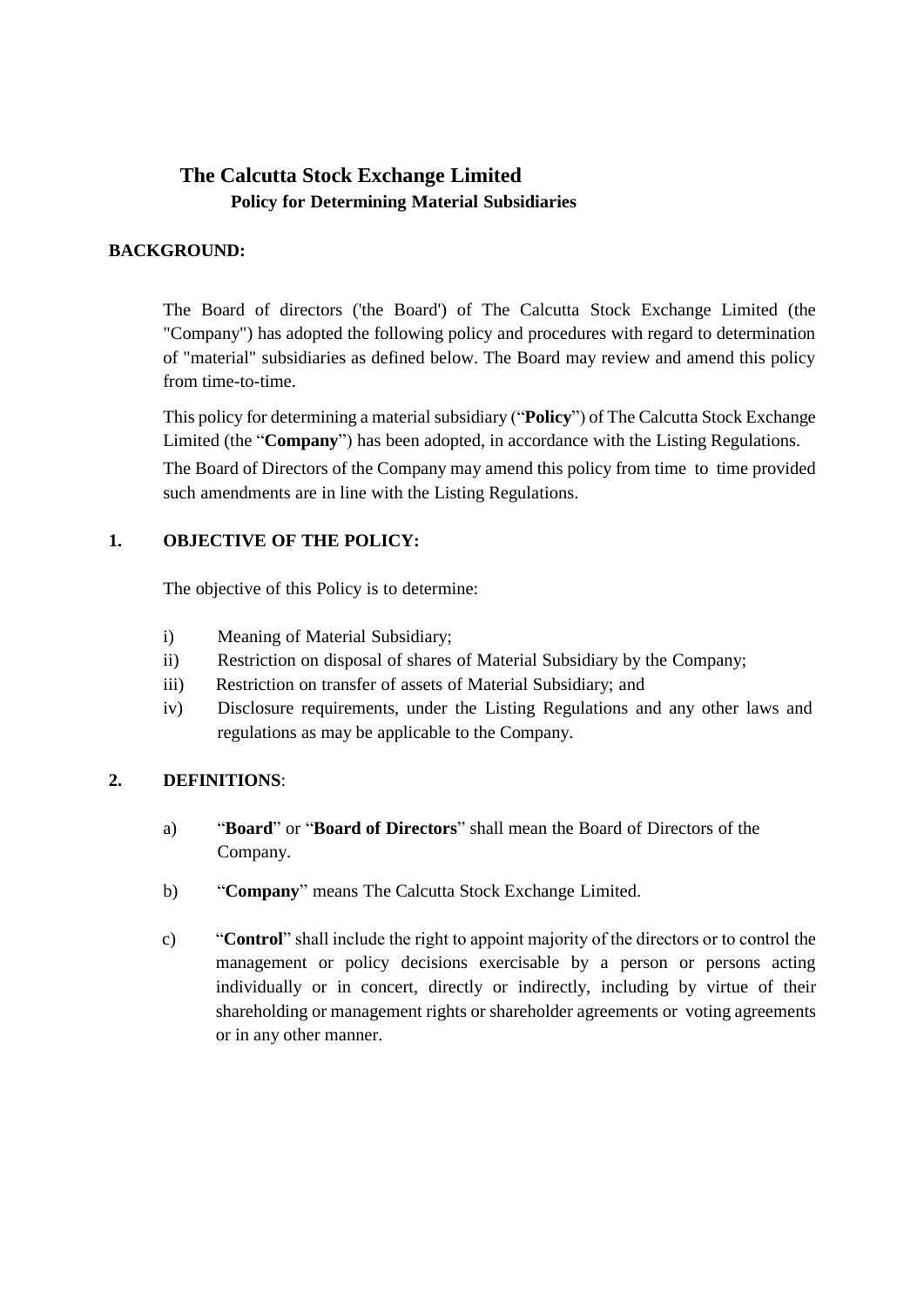# **The Calcutta Stock Exchange Limited Policy for Determining Material Subsidiaries**

### **BACKGROUND:**

The Board of directors ('the Board') of The Calcutta Stock Exchange Limited (the "Company") has adopted the following policy and procedures with regard to determination of "material" subsidiaries as defined below. The Board may review and amend this policy from time-to-time.

This policy for determining a material subsidiary ("**Policy**") of The Calcutta Stock Exchange Limited (the "**Company**") has been adopted, in accordance with the Listing Regulations.

The Board of Directors of the Company may amend this policy from time to time provided such amendments are in line with the Listing Regulations.

### **1. OBJECTIVE OF THE POLICY:**

The objective of this Policy is to determine:

- i) Meaning of Material Subsidiary;
- ii) Restriction on disposal of shares of Material Subsidiary by the Company;
- iii) Restriction on transfer of assets of Material Subsidiary; and
- iv) Disclosure requirements, under the Listing Regulations and any other laws and regulations as may be applicable to the Company.

#### **2. DEFINITIONS**:

- a) "**Board**" or "**Board of Directors**" shall mean the Board of Directors of the Company.
- b) "**Company**" means The Calcutta Stock Exchange Limited.
- c) "**Control**" shall include the right to appoint majority of the directors or to control the management or policy decisions exercisable by a person or persons acting individually or in concert, directly or indirectly, including by virtue of their shareholding or management rights or shareholder agreements or voting agreements or in any other manner.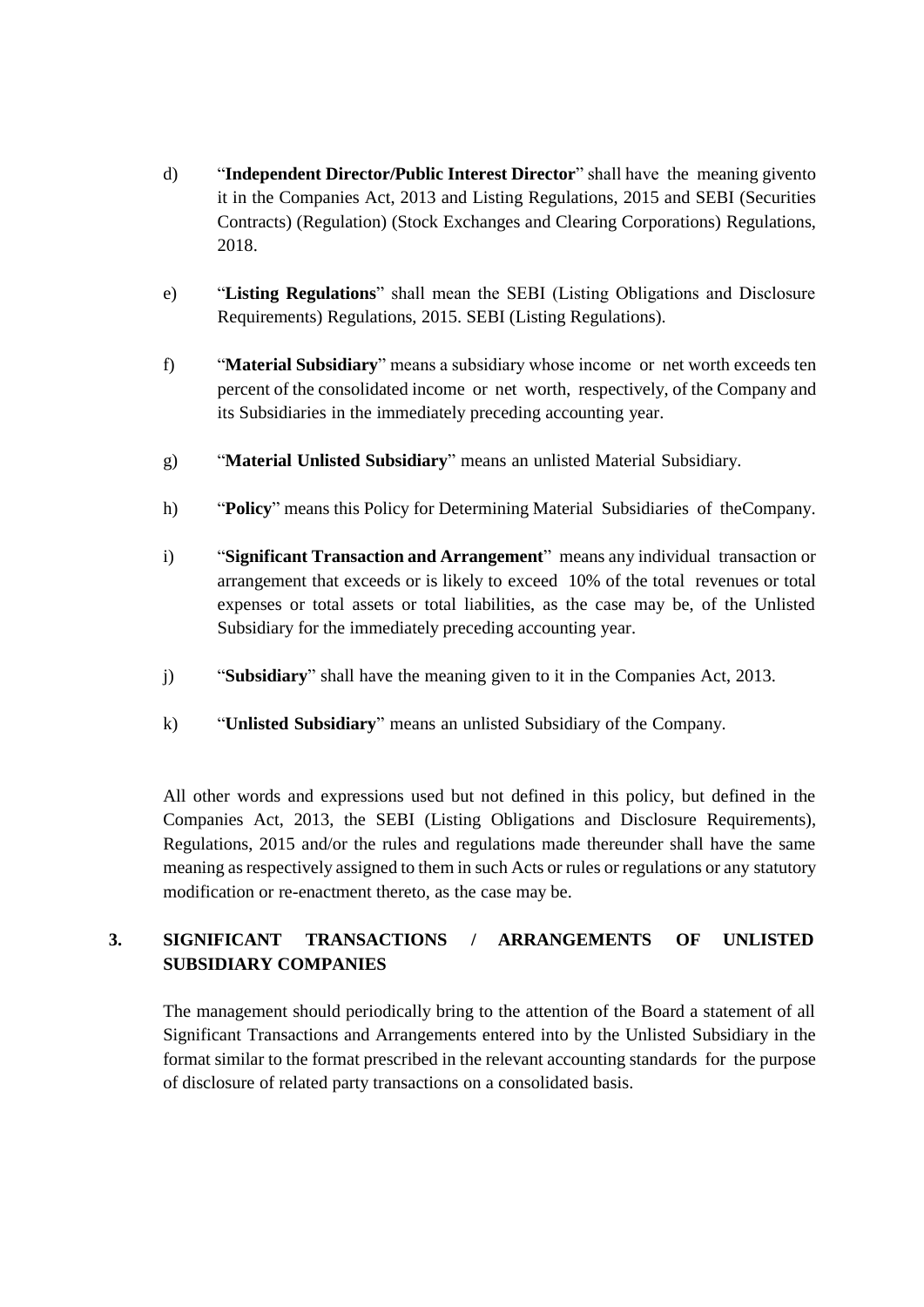- d) "**Independent Director/Public Interest Director**" shall have the meaning givento it in the Companies Act, 2013 and Listing Regulations, 2015 and SEBI (Securities Contracts) (Regulation) (Stock Exchanges and Clearing Corporations) Regulations, 2018.
- e) "**Listing Regulations**" shall mean the SEBI (Listing Obligations and Disclosure Requirements) Regulations, 2015. SEBI (Listing Regulations).
- f) "**Material Subsidiary**" means a subsidiary whose income or net worth exceeds ten percent of the consolidated income or net worth, respectively, of the Company and its Subsidiaries in the immediately preceding accounting year.
- g) "**Material Unlisted Subsidiary**" means an unlisted Material Subsidiary.
- h) "**Policy**" means this Policy for Determining Material Subsidiaries of theCompany.
- i) "**Significant Transaction and Arrangement**" means any individual transaction or arrangement that exceeds or is likely to exceed 10% of the total revenues or total expenses or total assets or total liabilities, as the case may be, of the Unlisted Subsidiary for the immediately preceding accounting year.
- j) "**Subsidiary**" shall have the meaning given to it in the Companies Act, 2013.
- k) "**Unlisted Subsidiary**" means an unlisted Subsidiary of the Company.

All other words and expressions used but not defined in this policy, but defined in the Companies Act, 2013, the SEBI (Listing Obligations and Disclosure Requirements), Regulations, 2015 and/or the rules and regulations made thereunder shall have the same meaning as respectively assigned to them in such Acts or rules or regulations or any statutory modification or re-enactment thereto, as the case may be.

## **3. SIGNIFICANT TRANSACTIONS / ARRANGEMENTS OF UNLISTED SUBSIDIARY COMPANIES**

The management should periodically bring to the attention of the Board a statement of all Significant Transactions and Arrangements entered into by the Unlisted Subsidiary in the format similar to the format prescribed in the relevant accounting standards for the purpose of disclosure of related party transactions on a consolidated basis.